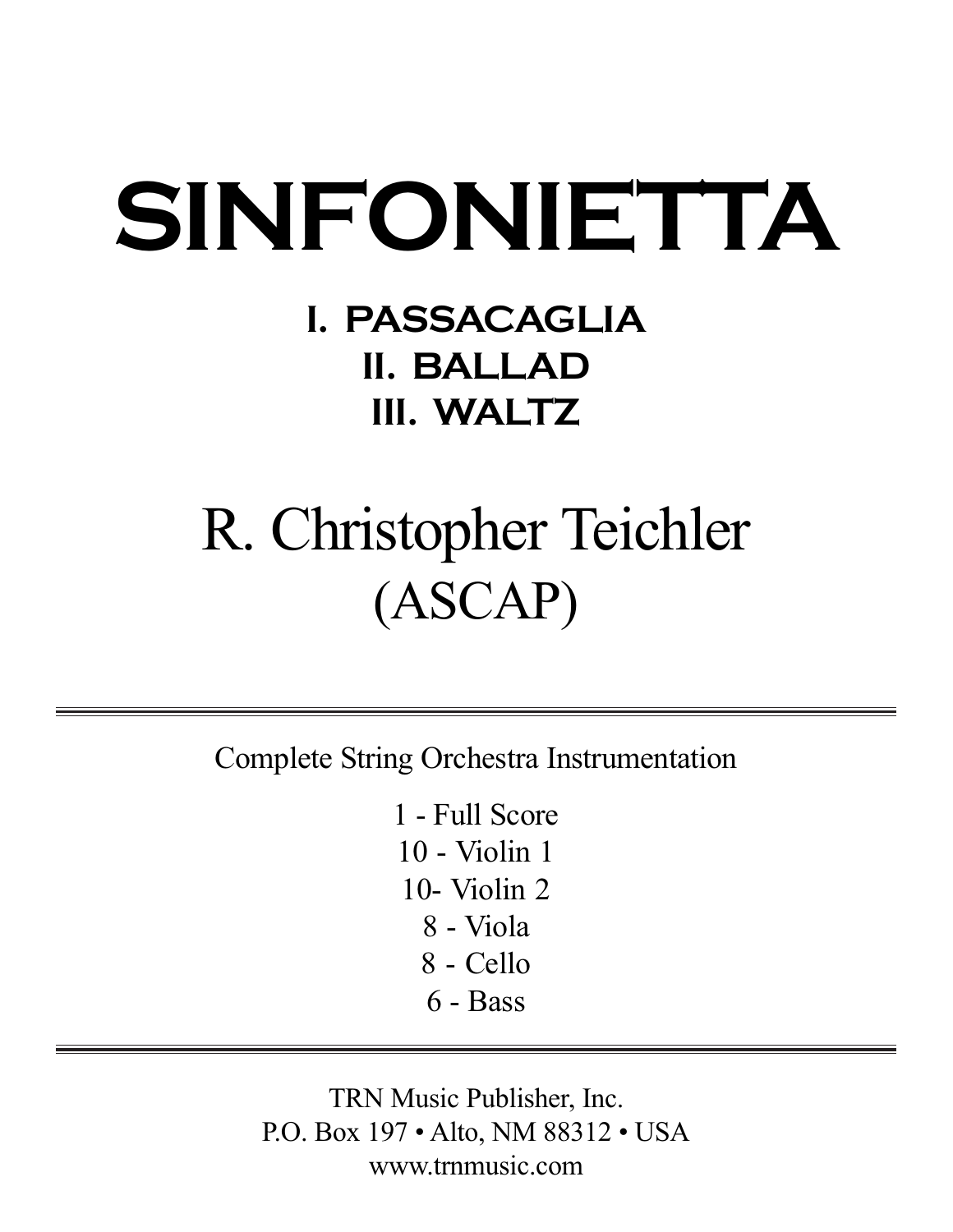# **SINFONIETTA**

### **I. PASSACAGLIAII. BALLADIII. WALTZ**

### R. Christopher Teichler (ASCAP)

Complete String Orchestra Instrumentation

1 - Full Score 10 - Violin 1 10- Violin 2 8 - Viola 8 - Cello 6 - Bass

TRN Music Publisher, Inc. P.O. Box 197 • Alto, NM 88312 • USA www.trnmusic.com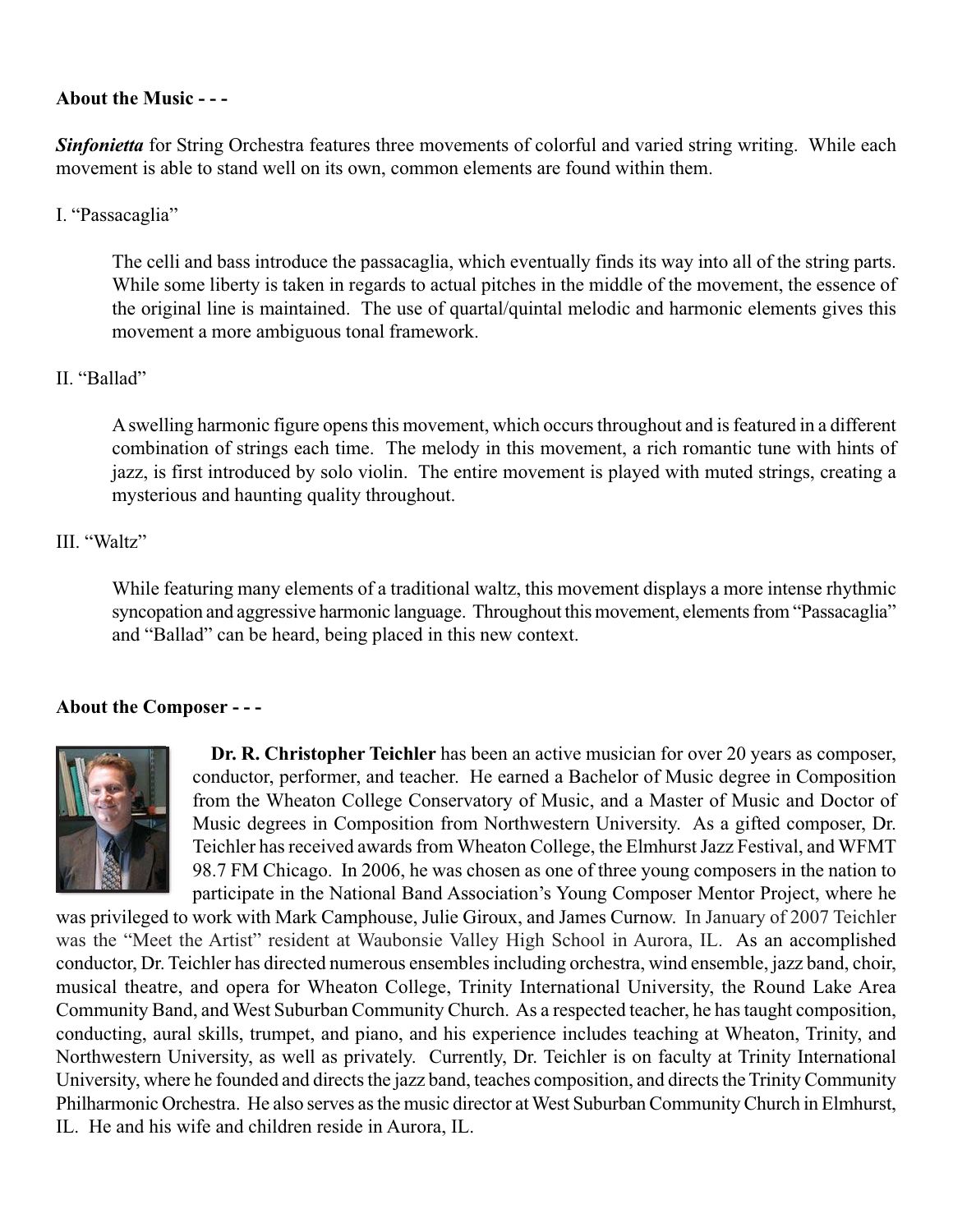#### **About the Music - - -**

*Sinfonietta* for String Orchestra features three movements of colorful and varied string writing. While each movement is able to stand well on its own, common elements are found within them.

I. "Passacaglia"

The celli and bass introduce the passacaglia, which eventually finds its way into all of the string parts. While some liberty is taken in regards to actual pitches in the middle of the movement, the essence of the original line is maintained. The use of quartal/quintal melodic and harmonic elements gives this movement a more ambiguous tonal framework.

#### II. "Ballad"

A swelling harmonic figure opens this movement, which occurs throughout and is featured in a different combination of strings each time. The melody in this movement, a rich romantic tune with hints of jazz, is first introduced by solo violin. The entire movement is played with muted strings, creating a mysterious and haunting quality throughout.

#### III. "Waltz"

While featuring many elements of a traditional waltz, this movement displays a more intense rhythmic syncopation and aggressive harmonic language. Throughout this movement, elements from "Passacaglia" and "Ballad" can be heard, being placed in this new context.

#### **About the Composer - - -**



 **Dr. R. Christopher Teichler** has been an active musician for over 20 years as composer, conductor, performer, and teacher. He earned a Bachelor of Music degree in Composition from the Wheaton College Conservatory of Music, and a Master of Music and Doctor of Music degrees in Composition from Northwestern University. As a gifted composer, Dr. Teichler has received awards from Wheaton College, the Elmhurst Jazz Festival, and WFMT 98.7 FM Chicago. In 2006, he was chosen as one of three young composers in the nation to participate in the National Band Association's Young Composer Mentor Project, where he

was privileged to work with Mark Camphouse, Julie Giroux, and James Curnow. In January of 2007 Teichler was the "Meet the Artist" resident at Waubonsie Valley High School in Aurora, IL. As an accomplished conductor, Dr. Teichler has directed numerous ensembles including orchestra, wind ensemble, jazz band, choir, musical theatre, and opera for Wheaton College, Trinity International University, the Round Lake Area Community Band, and West Suburban Community Church. As a respected teacher, he has taught composition, conducting, aural skills, trumpet, and piano, and his experience includes teaching at Wheaton, Trinity, and Northwestern University, as well as privately. Currently, Dr. Teichler is on faculty at Trinity International University, where he founded and directs the jazz band, teaches composition, and directs the Trinity Community Philharmonic Orchestra. He also serves as the music director at West Suburban Community Church in Elmhurst, IL. He and his wife and children reside in Aurora, IL.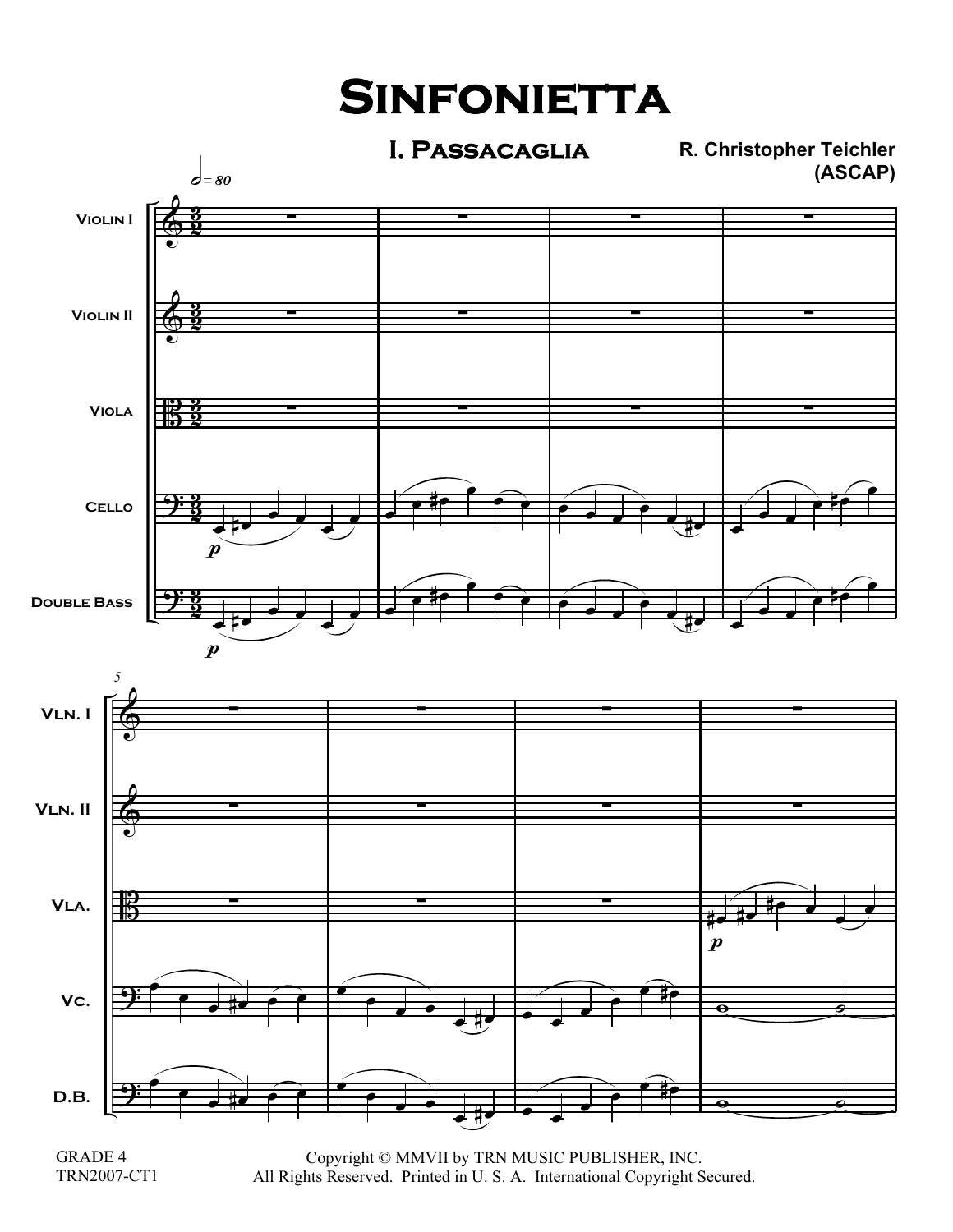## **SINFONIETTA**

**R. Christopher Teichler**



GRADE 4 TRN2007-CT1

Copyright © MMVII by TRN MUSIC PUBLISHER, INC. All Rights Reserved. Printed in U. S. A. International Copyright Secured.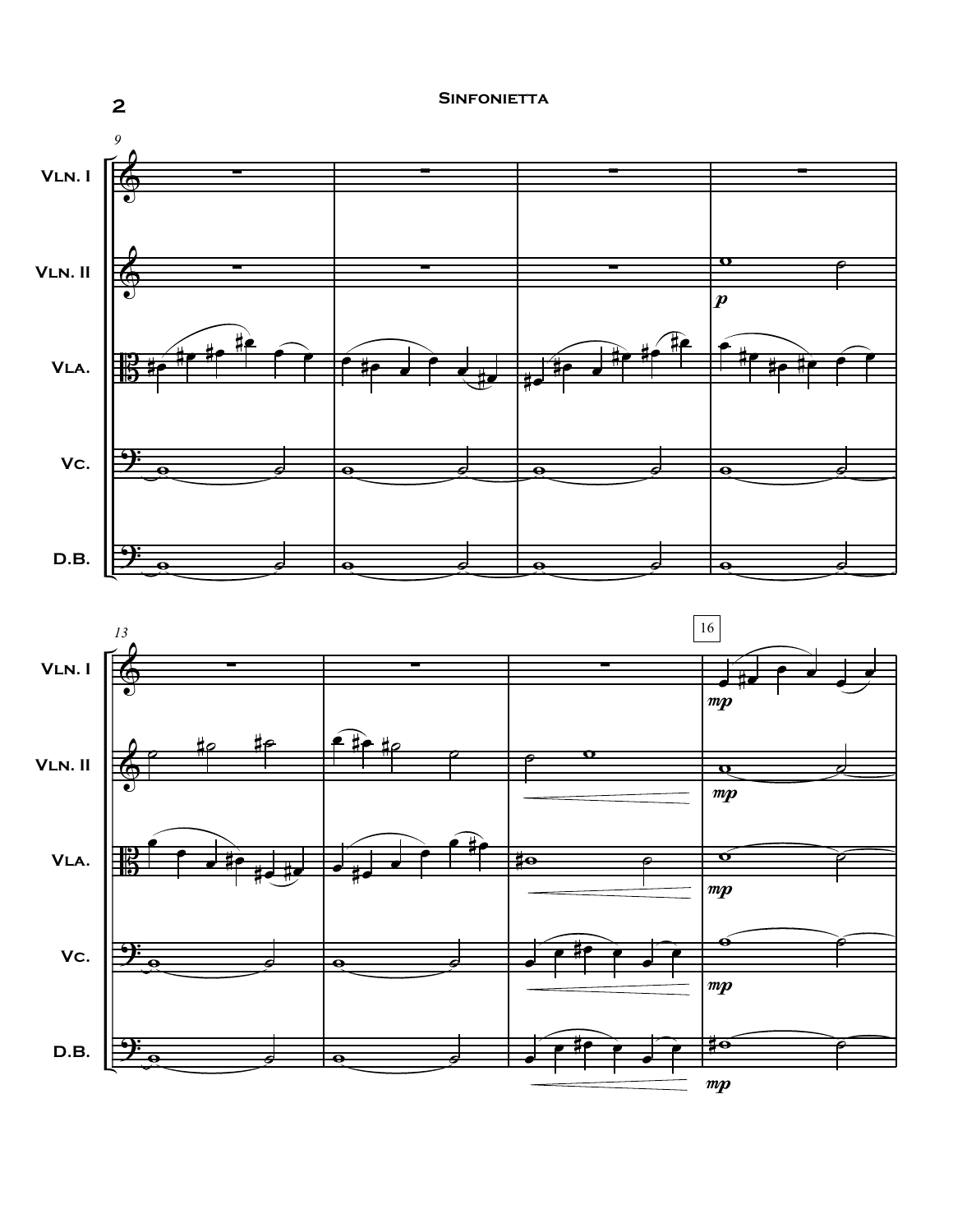